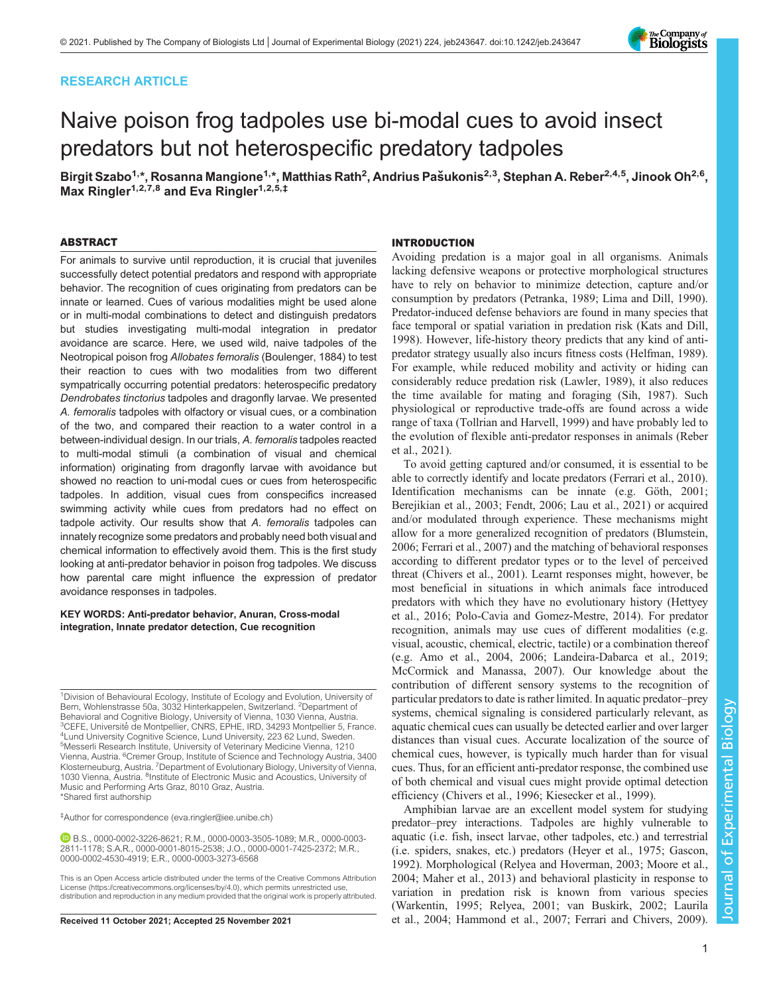## RESEARCH ARTICLE

# Naive poison frog tadpoles use bi-modal cues to avoid insect predators but not heterospecific predatory tadpoles

Birgit Szabo<sup>1,</sup>\*, Rosanna Mangione<sup>1,</sup>\*, Matthias Rath<sup>2</sup>, Andrius Pašukonis<sup>2,3</sup>, Stephan A. Reber<sup>2,4,5</sup>, Jinook Oh<sup>2,6</sup>, Max Ringler<sup>1,2,7,8</sup> and Eva Ringler<sup>1,2,5,‡</sup>

## ABSTRACT

For animals to survive until reproduction, it is crucial that juveniles successfully detect potential predators and respond with appropriate behavior. The recognition of cues originating from predators can be innate or learned. Cues of various modalities might be used alone or in multi-modal combinations to detect and distinguish predators but studies investigating multi-modal integration in predator avoidance are scarce. Here, we used wild, naive tadpoles of the Neotropical poison frog Allobates femoralis [\(Boulenger, 1884\)](#page-6-0) to test their reaction to cues with two modalities from two different sympatrically occurring potential predators: heterospecific predatory Dendrobates tinctorius tadpoles and dragonfly larvae. We presented A. femoralis tadpoles with olfactory or visual cues, or a combination of the two, and compared their reaction to a water control in a between-individual design. In our trials, A. femoralis tadpoles reacted to multi-modal stimuli (a combination of visual and chemical information) originating from dragonfly larvae with avoidance but showed no reaction to uni-modal cues or cues from heterospecific tadpoles. In addition, visual cues from conspecifics increased swimming activity while cues from predators had no effect on tadpole activity. Our results show that A. femoralis tadpoles can innately recognize some predators and probably need both visual and chemical information to effectively avoid them. This is the first study looking at anti-predator behavior in poison frog tadpoles. We discuss how parental care might influence the expression of predator avoidance responses in tadpoles.

#### KEY WORDS: Anti-predator behavior, Anuran, Cross-modal integration, Innate predator detection, Cue recognition

<sup>1</sup>Division of Behavioural Ecology, Institute of Ecology and Evolution, University of Bern, Wohlenstrasse 50a, 3032 Hinterkappelen, Switzerland. 2Department of Behavioral and Cognitive Biology, University of Vienna, 1030 Vienna, Austria.<br><sup>3</sup>CEFE, Université de Montpellier, CNRS, EPHE, IRD, 34293 Montpellier 5, France.<br><sup>4</sup>Lund University Cognitive Science, Lund University, 223,621 <sup>4</sup> Lund University Cognitive Science, Lund University, 223 62 Lund, Sweden. 5 Messerli Research Institute, University of Veterinary Medicine Vienna, 1210 Vienna, Austria. <sup>6</sup>Cremer Group, Institute of Science and Technology Austria, 3400 Klosterneuburg, Austria. <sup>7</sup>Department of Evolutionary Biology, University of Vienna, 1030 Vienna, Austria. <sup>8</sup>Institute of Electronic Music and Acoustics, University of Music and Performing Arts Graz, 8010 Graz, Austria. \*Shared first authorship

‡Author for correspondence ([eva.ringler@iee.unibe.ch](mailto:eva.ringler@iee.unibe.ch))

B.S., [0000-0002-3226-8621;](http://orcid.org/0000-0002-3226-8621) R.M., [0000-0003-3505-1089](http://orcid.org/0000-0003-3505-1089); M.R., [0000-0003-](http://orcid.org/0000-0003-2811-1178) [2811-1178](http://orcid.org/0000-0003-2811-1178); S.A.R., [0000-0001-8015-2538;](http://orcid.org/0000-0001-8015-2538) J.O., [0000-0001-7425-2372](http://orcid.org/0000-0001-7425-2372); M.R., [0000-0002-4530-4919;](http://orcid.org/0000-0002-4530-4919) E.R., [0000-0003-3273-6568](http://orcid.org/0000-0003-3273-6568)

#### INTRODUCTION

Avoiding predation is a major goal in all organisms. Animals lacking defensive weapons or protective morphological structures have to rely on behavior to minimize detection, capture and/or consumption by predators [\(Petranka, 1989](#page-7-0); [Lima and Dill, 1990\)](#page-7-0). Predator-induced defense behaviors are found in many species that face temporal or spatial variation in predation risk [\(Kats and Dill,](#page-7-0) [1998\)](#page-7-0). However, life-history theory predicts that any kind of antipredator strategy usually also incurs fitness costs ([Helfman, 1989\)](#page-7-0). For example, while reduced mobility and activity or hiding can considerably reduce predation risk ([Lawler, 1989](#page-7-0)), it also reduces the time available for mating and foraging [\(Sih, 1987](#page-8-0)). Such physiological or reproductive trade-offs are found across a wide range of taxa [\(Tollrian and Harvell, 1999](#page-8-0)) and have probably led to the evolution of flexible anti-predator responses in animals ([Reber](#page-7-0) [et al., 2021\)](#page-7-0).

To avoid getting captured and/or consumed, it is essential to be able to correctly identify and locate predators ([Ferrari et al., 2010\)](#page-7-0). Identification mechanisms can be innate (e.g. [Göth, 2001](#page-7-0); [Berejikian et al., 2003](#page-6-0); [Fendt, 2006; Lau et al., 2021](#page-7-0)) or acquired and/or modulated through experience. These mechanisms might allow for a more generalized recognition of predators [\(Blumstein,](#page-6-0) [2006;](#page-6-0) [Ferrari et al., 2007](#page-7-0)) and the matching of behavioral responses according to different predator types or to the level of perceived threat [\(Chivers et al., 2001\)](#page-6-0). Learnt responses might, however, be most beneficial in situations in which animals face introduced predators with which they have no evolutionary history ([Hettyey](#page-7-0) [et al., 2016; Polo-Cavia and Gomez-Mestre, 2014](#page-7-0)). For predator recognition, animals may use cues of different modalities (e.g. visual, acoustic, chemical, electric, tactile) or a combination thereof (e.g. [Amo et al., 2004](#page-6-0), [2006;](#page-6-0) [Landeira-Dabarca et al., 2019](#page-7-0); [McCormick and Manassa, 2007\)](#page-7-0). Our knowledge about the contribution of different sensory systems to the recognition of particular predators to date is rather limited. In aquatic predator–prey systems, chemical signaling is considered particularly relevant, as aquatic chemical cues can usually be detected earlier and over larger distances than visual cues. Accurate localization of the source of chemical cues, however, is typically much harder than for visual cues. Thus, for an efficient anti-predator response, the combined use of both chemical and visual cues might provide optimal detection efficiency [\(Chivers et al., 1996;](#page-6-0) [Kiesecker et al., 1999](#page-7-0)).

Amphibian larvae are an excellent model system for studying predator–prey interactions. Tadpoles are highly vulnerable to aquatic (i.e. fish, insect larvae, other tadpoles, etc.) and terrestrial (i.e. spiders, snakes, etc.) predators ([Heyer et al., 1975; Gascon,](#page-7-0) [1992\)](#page-7-0). Morphological [\(Relyea and Hoverman, 2003;](#page-8-0) [Moore et al.,](#page-7-0) [2004; Maher et al., 2013\)](#page-7-0) and behavioral plasticity in response to variation in predation risk is known from various species [\(Warkentin, 1995;](#page-8-0) [Relyea, 2001](#page-7-0); [van Buskirk, 2002](#page-8-0); [Laurila](#page-7-0) Received 11 October 2021; Accepted 25 November 2021 [et al., 2004; Hammond et al., 2007; Ferrari and Chivers, 2009\)](#page-7-0).



This is an Open Access article distributed under the terms of the Creative Commons Attribution License (https://creativecommons.org/licenses/by/4.0), which permits unrestricted use, distribution and reproduction in any medium provided that the original work is properly attributed.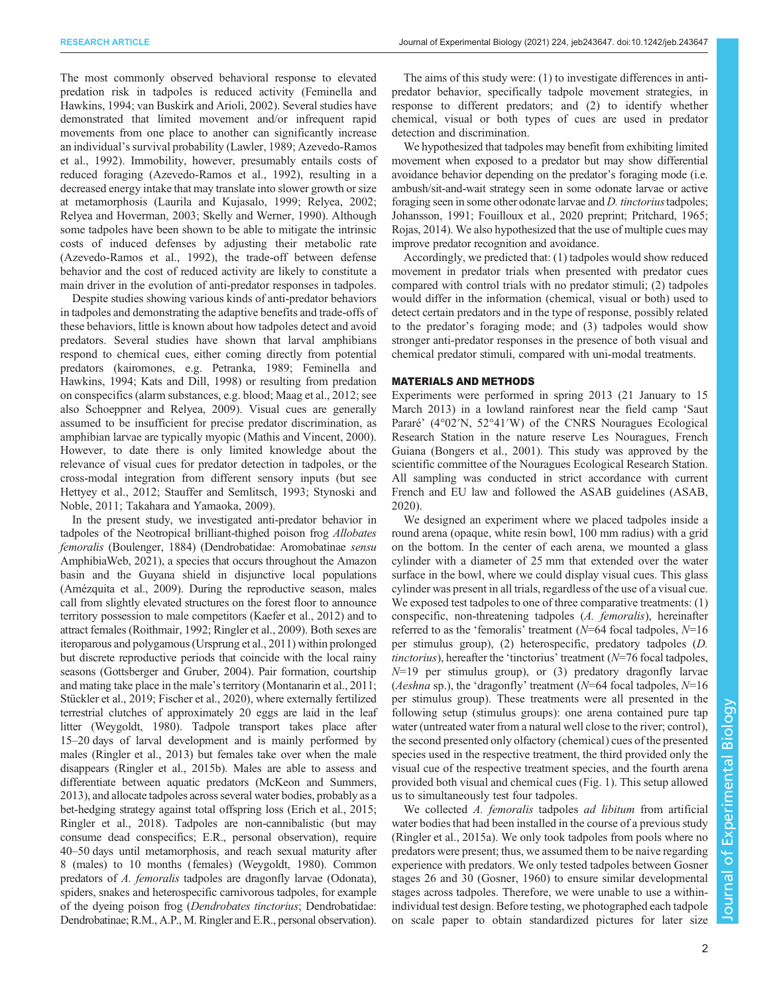The most commonly observed behavioral response to elevated predation risk in tadpoles is reduced activity [\(Feminella and](#page-6-0) [Hawkins, 1994;](#page-6-0) [van Buskirk and Arioli, 2002\)](#page-8-0). Several studies have demonstrated that limited movement and/or infrequent rapid movements from one place to another can significantly increase an individual's survival probability [\(Lawler, 1989;](#page-7-0) [Azevedo-Ramos](#page-6-0) [et al., 1992](#page-6-0)). Immobility, however, presumably entails costs of reduced foraging ([Azevedo-Ramos et al., 1992](#page-6-0)), resulting in a decreased energy intake that may translate into slower growth or size at metamorphosis ([Laurila and Kujasalo, 1999](#page-7-0); [Relyea, 2002](#page-8-0); [Relyea and Hoverman, 2003](#page-8-0); [Skelly and Werner, 1990](#page-8-0)). Although some tadpoles have been shown to be able to mitigate the intrinsic costs of induced defenses by adjusting their metabolic rate [\(Azevedo-Ramos et al., 1992\)](#page-6-0), the trade-off between defense behavior and the cost of reduced activity are likely to constitute a main driver in the evolution of anti-predator responses in tadpoles.

Despite studies showing various kinds of anti-predator behaviors in tadpoles and demonstrating the adaptive benefits and trade-offs of these behaviors, little is known about how tadpoles detect and avoid predators. Several studies have shown that larval amphibians respond to chemical cues, either coming directly from potential predators (kairomones, e.g. [Petranka, 1989;](#page-7-0) [Feminella and](#page-6-0) [Hawkins, 1994](#page-6-0); [Kats and Dill, 1998](#page-7-0)) or resulting from predation on conspecifics (alarm substances, e.g. blood; [Maag et al., 2012;](#page-7-0) see also [Schoeppner and Relyea, 2009\)](#page-8-0). Visual cues are generally assumed to be insufficient for precise predator discrimination, as amphibian larvae are typically myopic [\(Mathis and Vincent, 2000\)](#page-7-0). However, to date there is only limited knowledge about the relevance of visual cues for predator detection in tadpoles, or the cross-modal integration from different sensory inputs (but see [Hettyey et al., 2012;](#page-7-0) [Stauffer and Semlitsch, 1993; Stynoski and](#page-8-0) [Noble, 2011](#page-8-0); [Takahara and Yamaoka, 2009](#page-8-0)).

In the present study, we investigated anti-predator behavior in tadpoles of the Neotropical brilliant-thighed poison frog Allobates femoralis [\(Boulenger, 1884\)](#page-6-0) (Dendrobatidae: Aromobatinae sensu [AmphibiaWeb, 2021\)](#page-6-0), a species that occurs throughout the Amazon basin and the Guyana shield in disjunctive local populations [\(Amézquita et al., 2009\)](#page-6-0). During the reproductive season, males call from slightly elevated structures on the forest floor to announce territory possession to male competitors [\(Kaefer et al., 2012](#page-7-0)) and to attract females ([Roithmair, 1992; Ringler et al., 2009\)](#page-8-0). Both sexes are iteroparous and polygamous [\(Ursprung et al., 2011\)](#page-8-0) within prolonged but discrete reproductive periods that coincide with the local rainy seasons ([Gottsberger and Gruber, 2004\)](#page-7-0). Pair formation, courtship and mating take place in the male's territory [\(Montanarin et al., 2011](#page-7-0); [Stückler et al., 2019;](#page-8-0) [Fischer et al., 2020](#page-7-0)), where externally fertilized terrestrial clutches of approximately 20 eggs are laid in the leaf litter ([Weygoldt, 1980](#page-8-0)). Tadpole transport takes place after 15–20 days of larval development and is mainly performed by males [\(Ringler et al., 2013\)](#page-8-0) but females take over when the male disappears [\(Ringler et al., 2015b](#page-8-0)). Males are able to assess and differentiate between aquatic predators [\(McKeon and Summers,](#page-7-0) [2013\)](#page-7-0), and allocate tadpoles across several water bodies, probably as a bet-hedging strategy against total offspring loss ([Erich et al., 2015](#page-6-0); [Ringler et al., 2018\)](#page-8-0). Tadpoles are non-cannibalistic (but may consume dead conspecifics; E.R., personal observation), require 40–50 days until metamorphosis, and reach sexual maturity after 8 (males) to 10 months (females) [\(Weygoldt, 1980\)](#page-8-0). Common predators of A. femoralis tadpoles are dragonfly larvae (Odonata), spiders, snakes and heterospecific carnivorous tadpoles, for example of the dyeing poison frog (Dendrobates tinctorius; Dendrobatidae: Dendrobatinae; R.M., A.P., M. Ringler and E.R., personal observation).

The aims of this study were: (1) to investigate differences in antipredator behavior, specifically tadpole movement strategies, in response to different predators; and (2) to identify whether chemical, visual or both types of cues are used in predator detection and discrimination.

We hypothesized that tadpoles may benefit from exhibiting limited movement when exposed to a predator but may show differential avoidance behavior depending on the predator's foraging mode (i.e. ambush/sit-and-wait strategy seen in some odonate larvae or active foraging seen in some other odonate larvae and *D. tinctorius* tadpoles; [Johansson, 1991; Fouilloux et al., 2020](#page-7-0) preprint; [Pritchard, 1965](#page-7-0); [Rojas, 2014\)](#page-8-0). We also hypothesized that the use of multiple cues may improve predator recognition and avoidance.

Accordingly, we predicted that: (1) tadpoles would show reduced movement in predator trials when presented with predator cues compared with control trials with no predator stimuli; (2) tadpoles would differ in the information (chemical, visual or both) used to detect certain predators and in the type of response, possibly related to the predator's foraging mode; and (3) tadpoles would show stronger anti-predator responses in the presence of both visual and chemical predator stimuli, compared with uni-modal treatments.

## MATERIALS AND METHODS

Experiments were performed in spring 2013 (21 January to 15 March 2013) in a lowland rainforest near the field camp 'Saut Pararé' (4°02′N, 52°41′W) of the CNRS Nouragues Ecological Research Station in the nature reserve Les Nouragues, French Guiana [\(Bongers et al., 2001](#page-6-0)). This study was approved by the scientific committee of the Nouragues Ecological Research Station. All sampling was conducted in strict accordance with current French and EU law and followed the ASAB guidelines [\(ASAB,](#page-6-0) [2020\)](#page-6-0).

We designed an experiment where we placed tadpoles inside a round arena (opaque, white resin bowl, 100 mm radius) with a grid on the bottom. In the center of each arena, we mounted a glass cylinder with a diameter of 25 mm that extended over the water surface in the bowl, where we could display visual cues. This glass cylinder was present in all trials, regardless of the use of a visual cue. We exposed test tadpoles to one of three comparative treatments: (1) conspecific, non-threatening tadpoles (A. femoralis), hereinafter referred to as the 'femoralis' treatment ( $N=64$  focal tadpoles,  $N=16$ per stimulus group), (2) heterospecific, predatory tadpoles (D. tinctorius), hereafter the 'tinctorius' treatment  $(N=76 \text{ focal tadpoles})$ ,  $N=19$  per stimulus group), or (3) predatory dragonfly larvae (*Aeshna* sp.), the 'dragonfly' treatment ( $N=64$  focal tadpoles,  $N=16$ per stimulus group). These treatments were all presented in the following setup (stimulus groups): one arena contained pure tap water (untreated water from a natural well close to the river; control), the second presented only olfactory (chemical) cues of the presented species used in the respective treatment, the third provided only the visual cue of the respective treatment species, and the fourth arena provided both visual and chemical cues [\(Fig. 1](#page-2-0)). This setup allowed us to simultaneously test four tadpoles.

We collected A. femoralis tadpoles ad libitum from artificial water bodies that had been installed in the course of a previous study [\(Ringler et al., 2015a](#page-8-0)). We only took tadpoles from pools where no predators were present; thus, we assumed them to be naive regarding experience with predators. We only tested tadpoles between Gosner stages 26 and 30 [\(Gosner, 1960](#page-7-0)) to ensure similar developmental stages across tadpoles. Therefore, we were unable to use a withinindividual test design. Before testing, we photographed each tadpole on scale paper to obtain standardized pictures for later size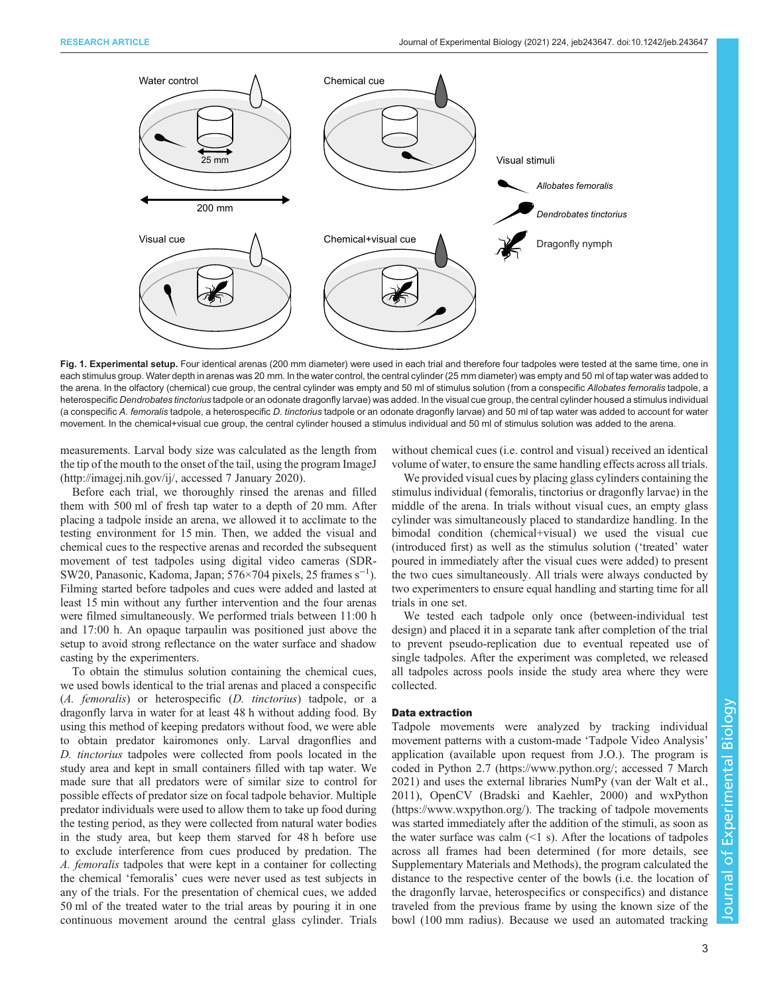<span id="page-2-0"></span>

Fig. 1. Experimental setup. Four identical arenas (200 mm diameter) were used in each trial and therefore four tadpoles were tested at the same time, one in each stimulus group. Water depth in arenas was 20 mm. In the water control, the central cylinder (25 mm diameter) was empty and 50 ml of tap water was added to the arena. In the olfactory (chemical) cue group, the central cylinder was empty and 50 ml of stimulus solution (from a conspecific Allobates femoralis tadpole, a heterospecific Dendrobates tinctorius tadpole or an odonate dragonfly larvae) was added. In the visual cue group, the central cylinder housed a stimulus individual (a conspecific A. femoralis tadpole, a heterospecific D. tinctorius tadpole or an odonate dragonfly larvae) and 50 ml of tap water was added to account for water movement. In the chemical+visual cue group, the central cylinder housed a stimulus individual and 50 ml of stimulus solution was added to the arena.

measurements. Larval body size was calculated as the length from the tip of the mouth to the onset of the tail, using the program ImageJ [\(http://imagej.nih.gov/ij/](http://imagej.nih.gov/ij/), accessed 7 January 2020).

Before each trial, we thoroughly rinsed the arenas and filled them with 500 ml of fresh tap water to a depth of 20 mm. After placing a tadpole inside an arena, we allowed it to acclimate to the testing environment for 15 min. Then, we added the visual and chemical cues to the respective arenas and recorded the subsequent movement of test tadpoles using digital video cameras (SDR-SW20, Panasonic, Kadoma, Japan; 576×704 pixels, 25 frames s−<sup>1</sup> ). Filming started before tadpoles and cues were added and lasted at least 15 min without any further intervention and the four arenas were filmed simultaneously. We performed trials between 11:00 h and 17:00 h. An opaque tarpaulin was positioned just above the setup to avoid strong reflectance on the water surface and shadow casting by the experimenters.

To obtain the stimulus solution containing the chemical cues, we used bowls identical to the trial arenas and placed a conspecific (A. femoralis) or heterospecific (D. tinctorius) tadpole, or a dragonfly larva in water for at least 48 h without adding food. By using this method of keeping predators without food, we were able to obtain predator kairomones only. Larval dragonflies and D. tinctorius tadpoles were collected from pools located in the study area and kept in small containers filled with tap water. We made sure that all predators were of similar size to control for possible effects of predator size on focal tadpole behavior. Multiple predator individuals were used to allow them to take up food during the testing period, as they were collected from natural water bodies in the study area, but keep them starved for 48 h before use to exclude interference from cues produced by predation. The A. femoralis tadpoles that were kept in a container for collecting the chemical 'femoralis' cues were never used as test subjects in any of the trials. For the presentation of chemical cues, we added 50 ml of the treated water to the trial areas by pouring it in one continuous movement around the central glass cylinder. Trials

without chemical cues (i.e. control and visual) received an identical volume of water, to ensure the same handling effects across all trials.

We provided visual cues by placing glass cylinders containing the stimulus individual (femoralis, tinctorius or dragonfly larvae) in the middle of the arena. In trials without visual cues, an empty glass cylinder was simultaneously placed to standardize handling. In the bimodal condition (chemical+visual) we used the visual cue (introduced first) as well as the stimulus solution ('treated' water poured in immediately after the visual cues were added) to present the two cues simultaneously. All trials were always conducted by two experimenters to ensure equal handling and starting time for all trials in one set.

We tested each tadpole only once (between-individual test design) and placed it in a separate tank after completion of the trial to prevent pseudo-replication due to eventual repeated use of single tadpoles. After the experiment was completed, we released all tadpoles across pools inside the study area where they were collected.

#### Data extraction

Tadpole movements were analyzed by tracking individual movement patterns with a custom-made 'Tadpole Video Analysis' application (available upon request from J.O.). The program is coded in Python 2.7 ([https://www.python.org/](https://www.python.org); accessed 7 March 2021) and uses the external libraries NumPy ([van der Walt et al.,](#page-8-0) [2011\)](#page-8-0), OpenCV [\(Bradski and Kaehler, 2000\)](#page-6-0) and wxPython [\(https://www.wxpython.org/](https://www.wxpython.org/)). The tracking of tadpole movements was started immediately after the addition of the stimuli, as soon as the water surface was calm  $(1 \text{ s})$ . After the locations of tadpoles across all frames had been determined (for more details, see [Supplementary Materials and Methods\)](https://journals.biologists.com/jeb/article-lookup/DOI/10.1242/jeb.243647), the program calculated the distance to the respective center of the bowls (i.e. the location of the dragonfly larvae, heterospecifics or conspecifics) and distance traveled from the previous frame by using the known size of the bowl (100 mm radius). Because we used an automated tracking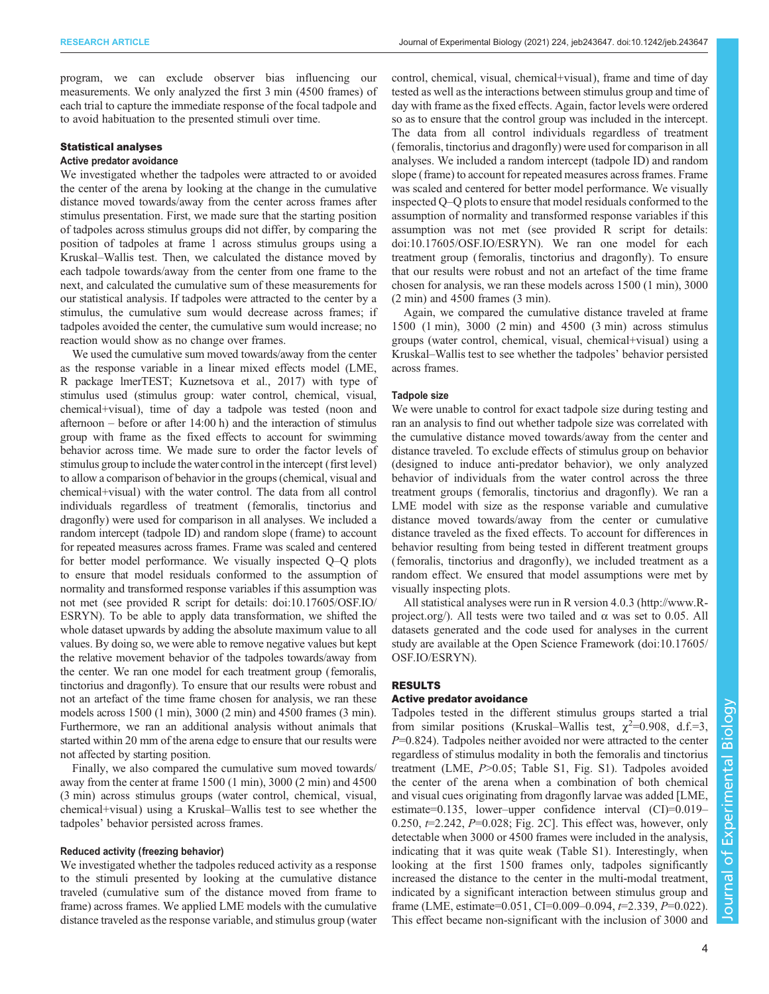program, we can exclude observer bias influencing our measurements. We only analyzed the first 3 min (4500 frames) of each trial to capture the immediate response of the focal tadpole and to avoid habituation to the presented stimuli over time.

## Statistical analyses

## Active predator avoidance

We investigated whether the tadpoles were attracted to or avoided the center of the arena by looking at the change in the cumulative distance moved towards/away from the center across frames after stimulus presentation. First, we made sure that the starting position of tadpoles across stimulus groups did not differ, by comparing the position of tadpoles at frame 1 across stimulus groups using a Kruskal–Wallis test. Then, we calculated the distance moved by each tadpole towards/away from the center from one frame to the next, and calculated the cumulative sum of these measurements for our statistical analysis. If tadpoles were attracted to the center by a stimulus, the cumulative sum would decrease across frames; if tadpoles avoided the center, the cumulative sum would increase; no reaction would show as no change over frames.

We used the cumulative sum moved towards/away from the center as the response variable in a linear mixed effects model (LME, R package lmerTEST; [Kuznetsova et al., 2017\)](#page-7-0) with type of stimulus used (stimulus group: water control, chemical, visual, chemical+visual), time of day a tadpole was tested (noon and afternoon – before or after 14:00 h) and the interaction of stimulus group with frame as the fixed effects to account for swimming behavior across time. We made sure to order the factor levels of stimulus group to include the water control in the intercept (first level) to allow a comparison of behavior in the groups (chemical, visual and chemical+visual) with the water control. The data from all control individuals regardless of treatment (femoralis, tinctorius and dragonfly) were used for comparison in all analyses. We included a random intercept (tadpole ID) and random slope (frame) to account for repeated measures across frames. Frame was scaled and centered for better model performance. We visually inspected Q–Q plots to ensure that model residuals conformed to the assumption of normality and transformed response variables if this assumption was not met (see provided R script for details: [doi:10.17605/OSF.IO/](https://osf.io/esryn/) [ESRYN](https://osf.io/esryn/)). To be able to apply data transformation, we shifted the whole dataset upwards by adding the absolute maximum value to all values. By doing so, we were able to remove negative values but kept the relative movement behavior of the tadpoles towards/away from the center. We ran one model for each treatment group (femoralis, tinctorius and dragonfly). To ensure that our results were robust and not an artefact of the time frame chosen for analysis, we ran these models across 1500 (1 min), 3000 (2 min) and 4500 frames (3 min). Furthermore, we ran an additional analysis without animals that started within 20 mm of the arena edge to ensure that our results were not affected by starting position.

Finally, we also compared the cumulative sum moved towards/ away from the center at frame 1500 (1 min), 3000 (2 min) and 4500 (3 min) across stimulus groups (water control, chemical, visual, chemical+visual) using a Kruskal–Wallis test to see whether the tadpoles' behavior persisted across frames.

#### Reduced activity (freezing behavior)

We investigated whether the tadpoles reduced activity as a response to the stimuli presented by looking at the cumulative distance traveled (cumulative sum of the distance moved from frame to frame) across frames. We applied LME models with the cumulative distance traveled as the response variable, and stimulus group (water control, chemical, visual, chemical+visual), frame and time of day tested as well as the interactions between stimulus group and time of day with frame as the fixed effects. Again, factor levels were ordered so as to ensure that the control group was included in the intercept. The data from all control individuals regardless of treatment (femoralis, tinctorius and dragonfly) were used for comparison in all analyses. We included a random intercept (tadpole ID) and random slope (frame) to account for repeated measures across frames. Frame was scaled and centered for better model performance. We visually inspected Q–Q plots to ensure that model residuals conformed to the assumption of normality and transformed response variables if this assumption was not met (see provided R script for details: [doi:10.17605/OSF.IO/ESRYN](https://osf.io/esryn/)). We ran one model for each treatment group (femoralis, tinctorius and dragonfly). To ensure that our results were robust and not an artefact of the time frame chosen for analysis, we ran these models across 1500 (1 min), 3000 (2 min) and 4500 frames (3 min).

Again, we compared the cumulative distance traveled at frame 1500 (1 min), 3000 (2 min) and 4500 (3 min) across stimulus groups (water control, chemical, visual, chemical+visual) using a Kruskal–Wallis test to see whether the tadpoles' behavior persisted across frames.

### Tadpole size

We were unable to control for exact tadpole size during testing and ran an analysis to find out whether tadpole size was correlated with the cumulative distance moved towards/away from the center and distance traveled. To exclude effects of stimulus group on behavior (designed to induce anti-predator behavior), we only analyzed behavior of individuals from the water control across the three treatment groups (femoralis, tinctorius and dragonfly). We ran a LME model with size as the response variable and cumulative distance moved towards/away from the center or cumulative distance traveled as the fixed effects. To account for differences in behavior resulting from being tested in different treatment groups (femoralis, tinctorius and dragonfly), we included treatment as a random effect. We ensured that model assumptions were met by visually inspecting plots.

All statistical analyses were run in R version 4.0.3 [\(http://www.R](http://www.R-project.org/)[project.org/](http://www.R-project.org/)). All tests were two tailed and  $\alpha$  was set to 0.05. All datasets generated and the code used for analyses in the current study are available at the Open Science Framework [\(doi:10.17605/](https://osf.io/esryn/) [OSF.IO/ESRYN\)](https://osf.io/esryn/).

#### RESULTS

### Active predator avoidance

Tadpoles tested in the different stimulus groups started a trial from similar positions (Kruskal–Wallis test,  $\chi^2$ =0.908, d.f.=3,  $P=0.824$ ). Tadpoles neither avoided nor were attracted to the center regardless of stimulus modality in both the femoralis and tinctorius treatment (LME, P>0.05; [Table S1, Fig. S1](https://journals.biologists.com/jeb/article-lookup/DOI/10.1242/jeb.243647)). Tadpoles avoided the center of the arena when a combination of both chemical and visual cues originating from dragonfly larvae was added [LME, estimate=0.135, lower–upper confidence interval (CI)=0.019– 0.250,  $t=2.242$ ,  $P=0.028$ ; [Fig. 2C](#page-4-0)]. This effect was, however, only detectable when 3000 or 4500 frames were included in the analysis, indicating that it was quite weak ([Table S1](https://journals.biologists.com/jeb/article-lookup/DOI/10.1242/jeb.243647)). Interestingly, when looking at the first 1500 frames only, tadpoles significantly increased the distance to the center in the multi-modal treatment, indicated by a significant interaction between stimulus group and frame (LME, estimate=0.051, CI=0.009–0.094, t=2.339, P=0.022). This effect became non-significant with the inclusion of 3000 and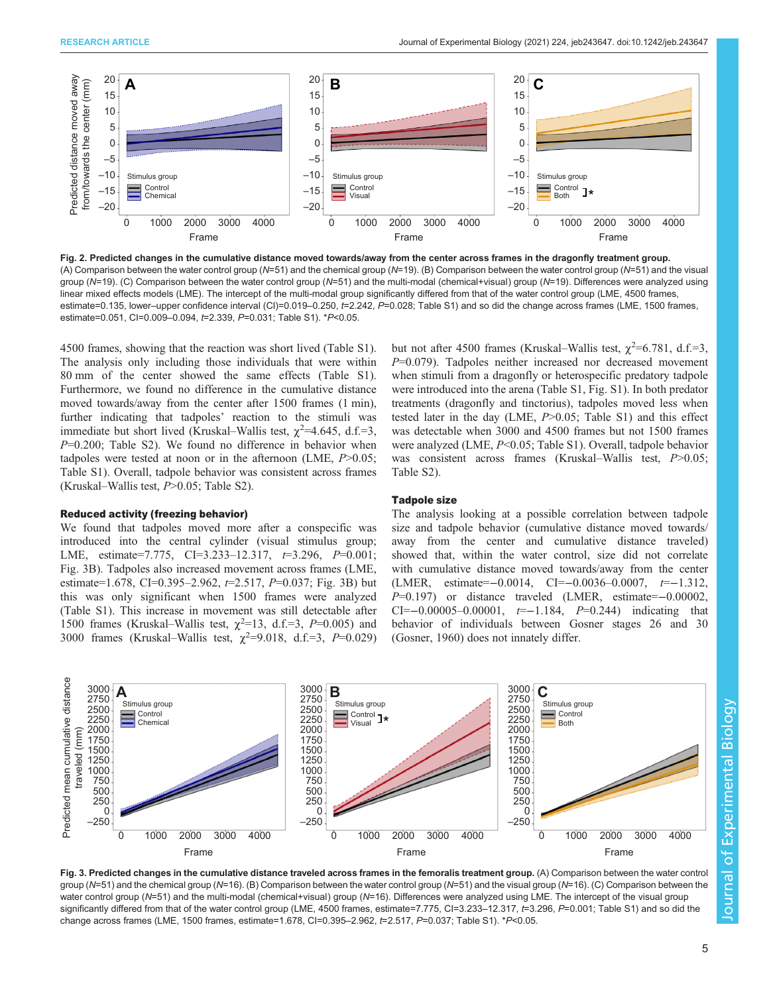<span id="page-4-0"></span>

Fig. 2. Predicted changes in the cumulative distance moved towards/away from the center across frames in the dragonfly treatment group. (A) Comparison between the water control group (N=51) and the chemical group (N=19). (B) Comparison between the water control group (N=51) and the visual group (N=19). (C) Comparison between the water control group (N=51) and the multi-modal (chemical+visual) group (N=19). Differences were analyzed using linear mixed effects models (LME). The intercept of the multi-modal group significantly differed from that of the water control group (LME, 4500 frames, estimate=0.135, lower–upper confidence interval (CI)=0.019–0.250, t=2.242, P=0.028; [Table S1\)](https://journals.biologists.com/jeb/article-lookup/DOI/10.1242/jeb.243647) and so did the change across frames (LME, 1500 frames, estimate=0.051, CI=0.009–0.094, t=2.339, P=0.031; [Table S1](https://journals.biologists.com/jeb/article-lookup/DOI/10.1242/jeb.243647)). \*P<0.05.

4500 frames, showing that the reaction was short lived ([Table S1\)](https://journals.biologists.com/jeb/article-lookup/DOI/10.1242/jeb.243647). The analysis only including those individuals that were within 80 mm of the center showed the same effects ([Table S1\)](https://journals.biologists.com/jeb/article-lookup/DOI/10.1242/jeb.243647). Furthermore, we found no difference in the cumulative distance moved towards/away from the center after 1500 frames (1 min), further indicating that tadpoles' reaction to the stimuli was immediate but short lived (Kruskal–Wallis test,  $\chi^2$ =4.645, d.f.=3, P=0.200; [Table S2\)](https://journals.biologists.com/jeb/article-lookup/DOI/10.1242/jeb.243647). We found no difference in behavior when tadpoles were tested at noon or in the afternoon (LME,  $P > 0.05$ ; [Table S1](https://journals.biologists.com/jeb/article-lookup/DOI/10.1242/jeb.243647)). Overall, tadpole behavior was consistent across frames (Kruskal–Wallis test,  $P > 0.05$ ; [Table S2\)](https://journals.biologists.com/jeb/article-lookup/DOI/10.1242/jeb.243647).

### Reduced activity (freezing behavior)

We found that tadpoles moved more after a conspecific was introduced into the central cylinder (visual stimulus group; LME, estimate=7.775, CI=3.233-12.317,  $t=3.296$ ,  $P=0.001$ ; Fig. 3B). Tadpoles also increased movement across frames (LME, estimate=1.678, CI=0.395–2.962,  $t=2.517$ , P=0.037; Fig. 3B) but this was only significant when 1500 frames were analyzed [\(Table S1](https://journals.biologists.com/jeb/article-lookup/DOI/10.1242/jeb.243647)). This increase in movement was still detectable after 1500 frames (Kruskal–Wallis test,  $\chi^2$ =13, d.f.=3, P=0.005) and 3000 frames (Kruskal–Wallis test,  $\chi^2$ =9.018, d.f.=3, P=0.029)

but not after 4500 frames (Kruskal–Wallis test,  $\chi^2$ =6.781, d.f.=3, P=0.079). Tadpoles neither increased nor decreased movement when stimuli from a dragonfly or heterospecific predatory tadpole were introduced into the arena ([Table S1](https://journals.biologists.com/jeb/article-lookup/DOI/10.1242/jeb.243647), [Fig. S1](https://journals.biologists.com/jeb/article-lookup/DOI/10.1242/jeb.243647)). In both predator treatments (dragonfly and tinctorius), tadpoles moved less when tested later in the day (LME, P>0.05; [Table S1\)](https://journals.biologists.com/jeb/article-lookup/DOI/10.1242/jeb.243647) and this effect was detectable when 3000 and 4500 frames but not 1500 frames were analyzed (LME, P<0.05; [Table S1](https://journals.biologists.com/jeb/article-lookup/DOI/10.1242/jeb.243647)). Overall, tadpole behavior was consistent across frames (Kruskal–Wallis test,  $P > 0.05$ ; [Table S2\)](https://journals.biologists.com/jeb/article-lookup/DOI/10.1242/jeb.243647).

### Tadpole size

The analysis looking at a possible correlation between tadpole size and tadpole behavior (cumulative distance moved towards/ away from the center and cumulative distance traveled) showed that, within the water control, size did not correlate with cumulative distance moved towards/away from the center (LMER, estimate=−0.0014, CI=−0.0036-0.0007,  $t=-1.312$ , P=0.197) or distance traveled (LMER, estimate=−0.00002, CI=-0.00005-0.00001,  $t=-1.184$ ,  $P=0.244$ ) indicating that behavior of individuals between Gosner stages 26 and 30 [\(Gosner, 1960](#page-7-0)) does not innately differ.



Fig. 3. Predicted changes in the cumulative distance traveled across frames in the femoralis treatment group. (A) Comparison between the water control group (N=51) and the chemical group (N=16). (B) Comparison between the water control group (N=51) and the visual group (N=16). (C) Comparison between the water control group (N=51) and the multi-modal (chemical+visual) group (N=16). Differences were analyzed using LME. The intercept of the visual group significantly differed from that of the water control group (LME, 4500 frames, estimate=7.775, CI=3.233-12.317, t=3.296, P=0.001; [Table S1](https://journals.biologists.com/jeb/article-lookup/DOI/10.1242/jeb.243647)) and so did the change across frames (LME, 1500 frames, estimate=1.678, CI=0.395–2.962, t=2.517, P=0.037; [Table S1](https://journals.biologists.com/jeb/article-lookup/DOI/10.1242/jeb.243647)). \*P<0.05.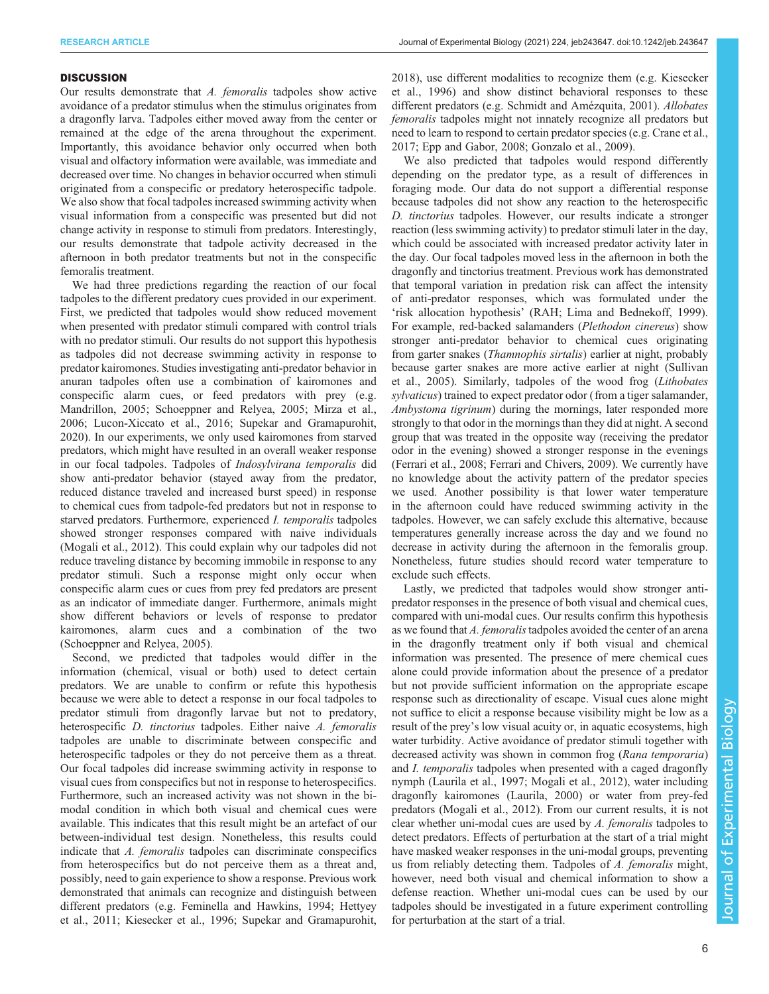#### **DISCUSSION**

Our results demonstrate that A. femoralis tadpoles show active avoidance of a predator stimulus when the stimulus originates from a dragonfly larva. Tadpoles either moved away from the center or remained at the edge of the arena throughout the experiment. Importantly, this avoidance behavior only occurred when both visual and olfactory information were available, was immediate and decreased over time. No changes in behavior occurred when stimuli originated from a conspecific or predatory heterospecific tadpole. We also show that focal tadpoles increased swimming activity when visual information from a conspecific was presented but did not change activity in response to stimuli from predators. Interestingly, our results demonstrate that tadpole activity decreased in the afternoon in both predator treatments but not in the conspecific femoralis treatment.

We had three predictions regarding the reaction of our focal tadpoles to the different predatory cues provided in our experiment. First, we predicted that tadpoles would show reduced movement when presented with predator stimuli compared with control trials with no predator stimuli. Our results do not support this hypothesis as tadpoles did not decrease swimming activity in response to predator kairomones. Studies investigating anti-predator behavior in anuran tadpoles often use a combination of kairomones and conspecific alarm cues, or feed predators with prey (e.g. [Mandrillon, 2005](#page-7-0); [Schoeppner and Relyea, 2005;](#page-8-0) [Mirza et al.,](#page-7-0) [2006](#page-7-0); [Lucon-Xiccato et al., 2016](#page-7-0); [Supekar and Gramapurohit,](#page-8-0) [2020](#page-8-0)). In our experiments, we only used kairomones from starved predators, which might have resulted in an overall weaker response in our focal tadpoles. Tadpoles of Indosylvirana temporalis did show anti-predator behavior (stayed away from the predator, reduced distance traveled and increased burst speed) in response to chemical cues from tadpole-fed predators but not in response to starved predators. Furthermore, experienced I. temporalis tadpoles showed stronger responses compared with naive individuals [\(Mogali et al., 2012\)](#page-7-0). This could explain why our tadpoles did not reduce traveling distance by becoming immobile in response to any predator stimuli. Such a response might only occur when conspecific alarm cues or cues from prey fed predators are present as an indicator of immediate danger. Furthermore, animals might show different behaviors or levels of response to predator kairomones, alarm cues and a combination of the two [\(Schoeppner and Relyea, 2005](#page-8-0)).

Second, we predicted that tadpoles would differ in the information (chemical, visual or both) used to detect certain predators. We are unable to confirm or refute this hypothesis because we were able to detect a response in our focal tadpoles to predator stimuli from dragonfly larvae but not to predatory, heterospecific *D. tinctorius* tadpoles. Either naive *A. femoralis* tadpoles are unable to discriminate between conspecific and heterospecific tadpoles or they do not perceive them as a threat. Our focal tadpoles did increase swimming activity in response to visual cues from conspecifics but not in response to heterospecifics. Furthermore, such an increased activity was not shown in the bimodal condition in which both visual and chemical cues were available. This indicates that this result might be an artefact of our between-individual test design. Nonetheless, this results could indicate that A. femoralis tadpoles can discriminate conspecifics from heterospecifics but do not perceive them as a threat and, possibly, need to gain experience to show a response. Previous work demonstrated that animals can recognize and distinguish between different predators (e.g. [Feminella and Hawkins, 1994;](#page-6-0) [Hettyey](#page-7-0) [et al., 2011](#page-7-0); [Kiesecker et al., 1996](#page-7-0); [Supekar and Gramapurohit,](#page-8-0)

[2018\)](#page-8-0), use different modalities to recognize them (e.g. [Kiesecker](#page-7-0) [et al., 1996](#page-7-0)) and show distinct behavioral responses to these different predators (e.g. [Schmidt and Amézquita, 2001](#page-8-0)). Allobates femoralis tadpoles might not innately recognize all predators but need to learn to respond to certain predator species (e.g. [Crane et al.,](#page-6-0) [2017; Epp and Gabor, 2008](#page-6-0); [Gonzalo et al., 2009\)](#page-7-0).

We also predicted that tadpoles would respond differently depending on the predator type, as a result of differences in foraging mode. Our data do not support a differential response because tadpoles did not show any reaction to the heterospecific D. tinctorius tadpoles. However, our results indicate a stronger reaction (less swimming activity) to predator stimuli later in the day, which could be associated with increased predator activity later in the day. Our focal tadpoles moved less in the afternoon in both the dragonfly and tinctorius treatment. Previous work has demonstrated that temporal variation in predation risk can affect the intensity of anti-predator responses, which was formulated under the 'risk allocation hypothesis' (RAH; [Lima and Bednekoff, 1999\)](#page-7-0). For example, red-backed salamanders (Plethodon cinereus) show stronger anti-predator behavior to chemical cues originating from garter snakes (Thamnophis sirtalis) earlier at night, probably because garter snakes are more active earlier at night ([Sullivan](#page-8-0) [et al., 2005\)](#page-8-0). Similarly, tadpoles of the wood frog (Lithobates sylvaticus) trained to expect predator odor (from a tiger salamander, Ambystoma tigrinum) during the mornings, later responded more strongly to that odor in the mornings than they did at night. A second group that was treated in the opposite way (receiving the predator odor in the evening) showed a stronger response in the evenings [\(Ferrari et al., 2008; Ferrari and Chivers, 2009](#page-7-0)). We currently have no knowledge about the activity pattern of the predator species we used. Another possibility is that lower water temperature in the afternoon could have reduced swimming activity in the tadpoles. However, we can safely exclude this alternative, because temperatures generally increase across the day and we found no decrease in activity during the afternoon in the femoralis group. Nonetheless, future studies should record water temperature to exclude such effects.

Lastly, we predicted that tadpoles would show stronger antipredator responses in the presence of both visual and chemical cues, compared with uni-modal cues. Our results confirm this hypothesis as we found that A. femoralistadpoles avoided the center of an arena in the dragonfly treatment only if both visual and chemical information was presented. The presence of mere chemical cues alone could provide information about the presence of a predator but not provide sufficient information on the appropriate escape response such as directionality of escape. Visual cues alone might not suffice to elicit a response because visibility might be low as a result of the prey's low visual acuity or, in aquatic ecosystems, high water turbidity. Active avoidance of predator stimuli together with decreased activity was shown in common frog (Rana temporaria) and I. temporalis tadpoles when presented with a caged dragonfly nymph [\(Laurila et al., 1997; Mogali et al., 2012\)](#page-7-0), water including dragonfly kairomones ([Laurila, 2000\)](#page-7-0) or water from prey-fed predators ([Mogali et al., 2012\)](#page-7-0). From our current results, it is not clear whether uni-modal cues are used by A. femoralis tadpoles to detect predators. Effects of perturbation at the start of a trial might have masked weaker responses in the uni-modal groups, preventing us from reliably detecting them. Tadpoles of A. femoralis might, however, need both visual and chemical information to show a defense reaction. Whether uni-modal cues can be used by our tadpoles should be investigated in a future experiment controlling for perturbation at the start of a trial.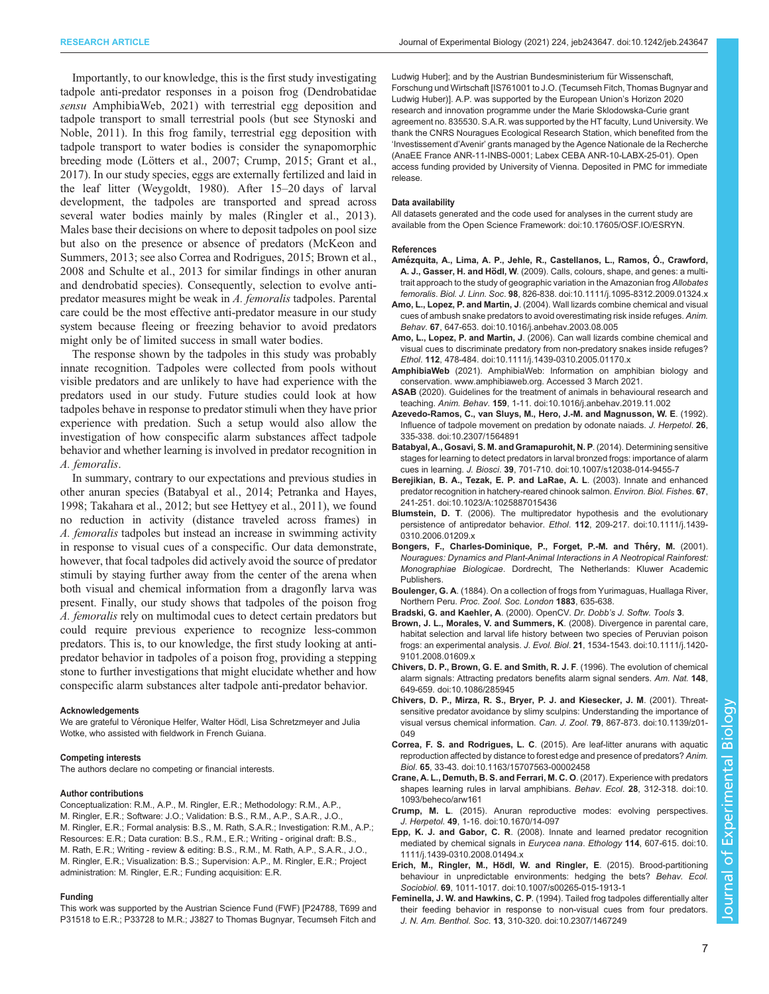<span id="page-6-0"></span>Importantly, to our knowledge, this is the first study investigating tadpole anti-predator responses in a poison frog (Dendrobatidae sensu AmphibiaWeb, 2021) with terrestrial egg deposition and tadpole transport to small terrestrial pools (but see [Stynoski and](#page-8-0) [Noble, 2011](#page-8-0)). In this frog family, terrestrial egg deposition with tadpole transport to water bodies is consider the synapomorphic breeding mode ([Lötters et al., 2007](#page-7-0); Crump, 2015; [Grant et al.,](#page-7-0) [2017](#page-7-0)). In our study species, eggs are externally fertilized and laid in the leaf litter ([Weygoldt, 1980](#page-8-0)). After 15–20 days of larval development, the tadpoles are transported and spread across several water bodies mainly by males ([Ringler et al., 2013\)](#page-8-0). Males base their decisions on where to deposit tadpoles on pool size but also on the presence or absence of predators [\(McKeon and](#page-7-0) [Summers, 2013;](#page-7-0) see also Correa and Rodrigues, 2015; Brown et al., 2008 and [Schulte et al., 2013](#page-8-0) for similar findings in other anuran and dendrobatid species). Consequently, selection to evolve antipredator measures might be weak in A. femoralis tadpoles. Parental care could be the most effective anti-predator measure in our study system because fleeing or freezing behavior to avoid predators might only be of limited success in small water bodies.

The response shown by the tadpoles in this study was probably innate recognition. Tadpoles were collected from pools without visible predators and are unlikely to have had experience with the predators used in our study. Future studies could look at how tadpoles behave in response to predator stimuli when they have prior experience with predation. Such a setup would also allow the investigation of how conspecific alarm substances affect tadpole behavior and whether learning is involved in predator recognition in A. femoralis.

In summary, contrary to our expectations and previous studies in other anuran species (Batabyal et al., 2014; [Petranka and Hayes,](#page-7-0) [1998;](#page-7-0) [Takahara et al., 2012](#page-8-0); but see [Hettyey et al., 2011](#page-7-0)), we found no reduction in activity (distance traveled across frames) in A. femoralis tadpoles but instead an increase in swimming activity in response to visual cues of a conspecific. Our data demonstrate, however, that focal tadpoles did actively avoid the source of predator stimuli by staying further away from the center of the arena when both visual and chemical information from a dragonfly larva was present. Finally, our study shows that tadpoles of the poison frog A. femoralis rely on multimodal cues to detect certain predators but could require previous experience to recognize less-common predators. This is, to our knowledge, the first study looking at antipredator behavior in tadpoles of a poison frog, providing a stepping stone to further investigations that might elucidate whether and how conspecific alarm substances alter tadpole anti-predator behavior.

#### Acknowledgements

We are grateful to Véronique Helfer, Walter Hödl, Lisa Schretzmeyer and Julia Wotke, who assisted with fieldwork in French Guiana.

#### Competing interests

The authors declare no competing or financial interests.

#### Author contributions

Conceptualization: R.M., A.P., M. Ringler, E.R.; Methodology: R.M., A.P., M. Ringler, E.R.; Software: J.O.; Validation: B.S., R.M., A.P., S.A.R., J.O., M. Ringler, E.R.; Formal analysis: B.S., M. Rath, S.A.R.; Investigation: R.M., A.P.; Resources: E.R.; Data curation: B.S., R.M., E.R.; Writing - original draft: B.S., M. Rath, E.R.; Writing - review & editing: B.S., R.M., M. Rath, A.P., S.A.R., J.O., M. Ringler, E.R.; Visualization: B.S.; Supervision: A.P., M. Ringler, E.R.; Project administration: M. Ringler, E.R.; Funding acquisition: E.R.

#### Funding

This work was supported by the Austrian Science Fund (FWF) [P24788, T699 and P31518 to E.R.; P33728 to M.R.; J3827 to Thomas Bugnyar, Tecumseh Fitch and

Ludwig Huber]; and by the Austrian Bundesministerium für Wissenschaft, Forschung und Wirtschaft [IS761001 to J.O. (Tecumseh Fitch, Thomas Bugnyar and Ludwig Huber)]. A.P. was supported by the European Union's Horizon 2020 research and innovation programme under the Marie Sklodowska-Curie grant agreement no. 835530. S.A.R. was supported by the HT faculty, Lund University. We thank the CNRS Nouragues Ecological Research Station, which benefited from the 'Investissement d'Avenir' grants managed by the Agence Nationale de la Recherche (AnaEE France ANR-11-INBS-0001; Labex CEBA ANR-10-LABX-25-01). Open access funding provided by University of Vienna. Deposited in PMC for immediate release.

#### Data availability

All datasets generated and the code used for analyses in the current study are available from the Open Science Framework: [doi:10.17605/OSF.IO/ESRYN.](https://osf.io/esryn/)

#### References

- Amé[zquita, A., Lima, A. P., Jehle, R., Castellanos, L., Ramos, Ó., Crawford,](https://doi.org/10.1111/j.1095-8312.2009.01324.x) A. J., Gasser, H. and Hödl, W[. \(2009\). Calls, colours, shape, and genes: a multi](https://doi.org/10.1111/j.1095-8312.2009.01324.x)[trait approach to the study of geographic variation in the Amazonian frog](https://doi.org/10.1111/j.1095-8312.2009.01324.x) Allobates femoralis. Biol. J. Linn. Soc. 98[, 826-838. doi:10.1111/j.1095-8312.2009.01324.x](https://doi.org/10.1111/j.1095-8312.2009.01324.x)
- Amo, L., Lopez, P. and Martin, J[. \(2004\). Wall lizards combine chemical and visual](https://doi.org/10.1016/j.anbehav.2003.08.005) [cues of ambush snake predators to avoid overestimating risk inside refuges.](https://doi.org/10.1016/j.anbehav.2003.08.005) Anim. Behav. 67[, 647-653. doi:10.1016/j.anbehav.2003.08.005](https://doi.org/10.1016/j.anbehav.2003.08.005)
- Amo, L., Lopez, P. and Martin, J[. \(2006\). Can wall lizards combine chemical and](https://doi.org/10.1111/j.1439-0310.2005.01170.x) [visual cues to discriminate predatory from non-predatory snakes inside refuges?](https://doi.org/10.1111/j.1439-0310.2005.01170.x) Ethol. 112[, 478-484. doi:10.1111/j.1439-0310.2005.01170.x](https://doi.org/10.1111/j.1439-0310.2005.01170.x)
- AmphibiaWeb (2021). AmphibiaWeb: Information on amphibian biology and conservation. [www.amphibiaweb.org.](http://www.amphibiaweb.org) Accessed 3 March 2021.
- ASAB [\(2020\). Guidelines for the treatment of animals in behavioural research and](https://doi.org/10.1016/j.anbehav.2019.11.002) teaching. Anim. Behav. 159[, 1-11. doi:10.1016/j.anbehav.2019.11.002](https://doi.org/10.1016/j.anbehav.2019.11.002)
- [Azevedo-Ramos, C., van Sluys, M., Hero, J.-M. and Magnusson, W. E](https://doi.org/10.2307/1564891). (1992). [Influence of tadpole movement on predation by odonate naiads.](https://doi.org/10.2307/1564891) J. Herpetol. 26, [335-338. doi:10.2307/1564891](https://doi.org/10.2307/1564891)
- [Batabyal, A., Gosavi, S. M. and Gramapurohit, N. P](https://doi.org/10.1007/s12038-014-9455-7). (2014). Determining sensitive [stages for learning to detect predators in larval bronzed frogs: importance of alarm](https://doi.org/10.1007/s12038-014-9455-7) cues in learning. J. Biosci. 39[, 701-710. doi:10.1007/s12038-014-9455-7](https://doi.org/10.1007/s12038-014-9455-7)
- [Berejikian, B. A., Tezak, E. P. and LaRae, A. L](https://doi.org/10.1023/A:1025887015436). (2003). Innate and enhanced [predator recognition in hatchery-reared chinook salmon.](https://doi.org/10.1023/A:1025887015436) Environ. Biol. Fishes. 67, [241-251. doi:10.1023/A:1025887015436](https://doi.org/10.1023/A:1025887015436)
- Blumstein, D. T[. \(2006\). The multipredator hypothesis and the evolutionary](https://doi.org/10.1111/j.1439-0310.2006.01209.x) [persistence of antipredator behavior.](https://doi.org/10.1111/j.1439-0310.2006.01209.x) Ethol. 112, 209-217. doi:10.1111/j.1439- [0310.2006.01209.x](https://doi.org/10.1111/j.1439-0310.2006.01209.x)
- Bongers, F., Charles-Dominique, P., Forget, P.-M. and Théry, M. (2001). Nouragues: Dynamics and Plant-Animal Interactions in A Neotropical Rainforest: Monographiae Biologicae. Dordrecht, The Netherlands: Kluwer Academic Publishers.
- Boulenger, G. A. (1884). On a collection of frogs from Yurimaguas, Huallaga River, Northern Peru. Proc. Zool. Soc. London 1883, 635-638.
- Bradski, G. and Kaehler, A. (2000). OpenCV. Dr. Dobb's J. Softw. Tools 3.
- [Brown, J. L., Morales, V. and Summers, K](https://doi.org/10.1111/j.1420-9101.2008.01609.x). (2008). Divergence in parental care, [habitat selection and larval life history between two species of Peruvian poison](https://doi.org/10.1111/j.1420-9101.2008.01609.x) frogs: an experimental analysis. J. Evol. Biol. 21[, 1534-1543. doi:10.1111/j.1420-](https://doi.org/10.1111/j.1420-9101.2008.01609.x) [9101.2008.01609.x](https://doi.org/10.1111/j.1420-9101.2008.01609.x)
- [Chivers, D. P., Brown, G. E. and Smith, R. J. F](https://doi.org/10.1086/285945). (1996). The evolution of chemical [alarm signals: Attracting predators benefits alarm signal senders.](https://doi.org/10.1086/285945) Am. Nat. 148, [649-659. doi:10.1086/285945](https://doi.org/10.1086/285945)
- [Chivers, D. P., Mirza, R. S., Bryer, P. J. and Kiesecker, J. M](https://doi.org/10.1139/z01-049). (2001). Threat[sensitive predator avoidance by slimy sculpins: Understanding the importance of](https://doi.org/10.1139/z01-049) [visual versus chemical information.](https://doi.org/10.1139/z01-049) Can. J. Zool. 79, 867-873. doi:10.1139/z01- [049](https://doi.org/10.1139/z01-049)
- Correa, F. S. and Rodrigues, L. C[. \(2015\). Are leaf-litter anurans with aquatic](https://doi.org/10.1163/15707563-00002458) [reproduction affected by distance to forest edge and presence of predators?](https://doi.org/10.1163/15707563-00002458) Anim. Biol. 65[, 33-43. doi:10.1163/15707563-00002458](https://doi.org/10.1163/15707563-00002458)
- [Crane, A. L., Demuth, B. S. and Ferrari, M. C. O](https://doi.org/10.1093/beheco/arw161). (2017). Experience with predators [shapes learning rules in larval amphibians.](https://doi.org/10.1093/beheco/arw161) Behav. Ecol. 28, 312-318. doi:10. [1093/beheco/arw161](https://doi.org/10.1093/beheco/arw161)
- Crump, M. L[. \(2015\). Anuran reproductive modes: evolving perspectives.](https://doi.org/10.1670/14-097) J. Herpetol. 49[, 1-16. doi:10.1670/14-097](https://doi.org/10.1670/14-097)
- Epp, K. J. and Gabor, C. R[. \(2008\). Innate and learned predator recognition](https://doi.org/10.1111/j.1439-0310.2008.01494.x) [mediated by chemical signals in](https://doi.org/10.1111/j.1439-0310.2008.01494.x) Eurycea nana. Ethology 114, 607-615. doi:10. [1111/j.1439-0310.2008.01494.x](https://doi.org/10.1111/j.1439-0310.2008.01494.x)
- Erich, M., Ringler, M., Hödl, W. and Ringler, E. (2015). Brood-partitioning [behaviour in unpredictable environments: hedging the bets?](https://doi.org/10.1007/s00265-015-1913-1) Behav. Ecol. Sociobiol. 69[, 1011-1017. doi:10.1007/s00265-015-1913-1](https://doi.org/10.1007/s00265-015-1913-1)
- Feminella, J. W. and Hawkins, C. P[. \(1994\). Tailed frog tadpoles differentially alter](https://doi.org/10.2307/1467249) [their feeding behavior in response to non-visual cues from four predators.](https://doi.org/10.2307/1467249) J. N. Am. Benthol. Soc. 13[, 310-320. doi:10.2307/1467249](https://doi.org/10.2307/1467249)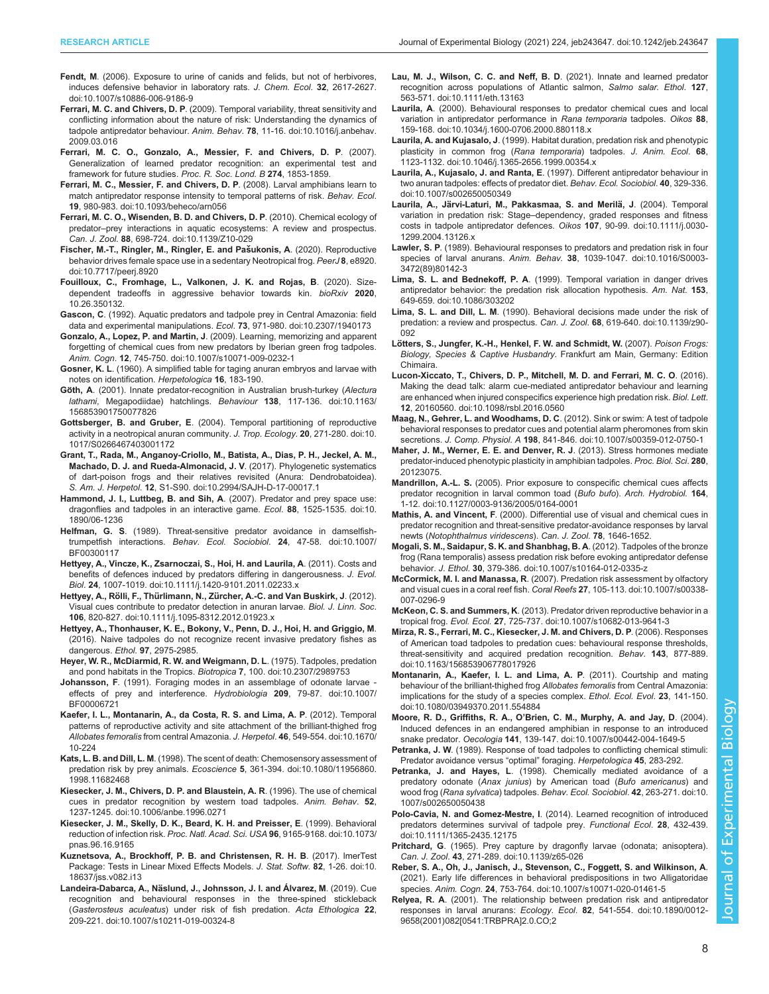- <span id="page-7-0"></span>Fendt, M[. \(2006\). Exposure to urine of canids and felids, but not of herbivores,](https://doi.org/10.1007/s10886-006-9186-9) [induces defensive behavior in laboratory rats.](https://doi.org/10.1007/s10886-006-9186-9) J. Chem. Ecol. 32, 2617-2627. [doi:10.1007/s10886-006-9186-9](https://doi.org/10.1007/s10886-006-9186-9)
- Ferrari, M. C. and Chivers, D. P[. \(2009\). Temporal variability, threat sensitivity and](https://doi.org/10.1016/j.anbehav.2009.03.016) [conflicting information about the nature of risk: Understanding the dynamics of](https://doi.org/10.1016/j.anbehav.2009.03.016) [tadpole antipredator behaviour.](https://doi.org/10.1016/j.anbehav.2009.03.016) Anim. Behav. 78, 11-16. doi:10.1016/j.anbehav. [2009.03.016](https://doi.org/10.1016/j.anbehav.2009.03.016)
- Ferrari, M. C. O., Gonzalo, A., Messier, F. and Chivers, D. P. (2007). Generalization of learned predator recognition: an experimental test and framework for future studies. Proc. R. Soc. Lond. B 274, 1853-1859.
- [Ferrari, M. C., Messier, F. and Chivers, D. P](https://doi.org/10.1093/beheco/arn056). (2008). Larval amphibians learn to [match antipredator response intensity to temporal patterns of risk.](https://doi.org/10.1093/beheco/arn056) Behav. Ecol. 19[, 980-983. doi:10.1093/beheco/arn056](https://doi.org/10.1093/beheco/arn056)
- [Ferrari, M. C. O., Wisenden, B. D. and Chivers, D. P](https://doi.org/10.1139/Z10-029). (2010). Chemical ecology of predator–[prey interactions in aquatic ecosystems: A review and prospectus.](https://doi.org/10.1139/Z10-029) Can. J. Zool. 88[, 698-724. doi:10.1139/Z10-029](https://doi.org/10.1139/Z10-029)
- Fischer, M.-T., Ringler, M., Ringler, E. and Pašukonis, A. (2020). Reproductive [behavior drives female space use in a sedentary Neotropical frog.](https://doi.org/10.7717/peerj.8920) PeerJ 8, e8920. [doi:10.7717/peerj.8920](https://doi.org/10.7717/peerj.8920)
- Fouilloux, C., Fromhage, L., Valkonen, J. K. and Rojas, B. (2020). Sizedependent tradeoffs in aggressive behavior towards kin. bioRxiv 2020, 10.26.350132.
- Gascon, C[. \(1992\). Aquatic predators and tadpole prey in Central Amazonia: field](https://doi.org/10.2307/1940173) [data and experimental manipulations.](https://doi.org/10.2307/1940173) Ecol. 73, 971-980. doi:10.2307/1940173
- Gonzalo, A., Lopez, P. and Martin, J[. \(2009\). Learning, memorizing and apparent](https://doi.org/10.1007/s10071-009-0232-1) [forgetting of chemical cues from new predators by Iberian green frog tadpoles.](https://doi.org/10.1007/s10071-009-0232-1) Anim. Cogn. 12[, 745-750. doi:10.1007/s10071-009-0232-1](https://doi.org/10.1007/s10071-009-0232-1)
- Gosner, K. L. (1960). A simplified table for taging anuran embryos and larvae with notes on identification. Herpetologica 16, 183-190.
- Göth, A[. \(2001\). Innate predator-recognition in Australian brush-turkey \(](https://doi.org/10.1163/156853901750077826)Alectura lathami[, Megapodiidae\) hatchlings](https://doi.org/10.1163/156853901750077826). Behaviour 138, 117-136. doi:10.1163/ [156853901750077826](https://doi.org/10.1163/156853901750077826)
- Gottsberger, B. and Gruber, E[. \(2004\). Temporal partitioning of reproductive](https://doi.org/10.1017/S0266467403001172) [activity in a neotropical anuran community.](https://doi.org/10.1017/S0266467403001172) J. Trop. Ecology. 20, 271-280. doi:10. [1017/S0266467403001172](https://doi.org/10.1017/S0266467403001172)
- [Grant, T., Rada, M., Anganoy-Criollo, M., Batista, A., Dias, P. H., Jeckel, A. M.,](https://doi.org/10.2994/SAJH-D-17-00017.1) [Machado, D. J. and Rueda-Almonacid, J. V](https://doi.org/10.2994/SAJH-D-17-00017.1). (2017). Phylogenetic systematics [of dart-poison frogs and their relatives revisited \(Anura: Dendrobatoidea\).](https://doi.org/10.2994/SAJH-D-17-00017.1) S. Am. J. Herpetol. 12[, S1-S90. doi:10.2994/SAJH-D-17-00017.1](https://doi.org/10.2994/SAJH-D-17-00017.1)
- [Hammond, J. I., Luttbeg, B. and Sih, A](https://doi.org/10.1890/06-1236). (2007). Predator and prey space use: [dragonflies and tadpoles in an interactive game.](https://doi.org/10.1890/06-1236) Ecol. 88, 1525-1535. doi:10. [1890/06-1236](https://doi.org/10.1890/06-1236)
- Helfman, G. S[. \(1989\). Threat-sensitive predator avoidance in damselfish](https://doi.org/10.1007/BF00300117)[trumpetfish interactions.](https://doi.org/10.1007/BF00300117) Behav. Ecol. Sociobiol. 24, 47-58. doi:10.1007/ [BF00300117](https://doi.org/10.1007/BF00300117)
- [Hettyey, A., Vincze, K., Zsarnoczai, S., Hoi, H. and Laurila, A](https://doi.org/10.1111/j.1420-9101.2011.02233.x). (2011). Costs and [benefits of defences induced by predators differing in dangerousness.](https://doi.org/10.1111/j.1420-9101.2011.02233.x) J. Evol. Biol. 24[, 1007-1019. doi:10.1111/j.1420-9101.2011.02233.x](https://doi.org/10.1111/j.1420-9101.2011.02233.x)
- Hettyey, A., Rölli, F., Thürlimann, N., Zü[rcher, A.-C. and Van Buskirk, J](https://doi.org/10.1111/j.1095-8312.2012.01923.x). (2012). [Visual cues contribute to predator detection in anuran larvae.](https://doi.org/10.1111/j.1095-8312.2012.01923.x) Biol. J. Linn. Soc. 106[, 820-827. doi:10.1111/j.1095-8312.2012.01923.x](https://doi.org/10.1111/j.1095-8312.2012.01923.x)
- Hettyey, A., Thonhauser, K. E., Bokony, V., Penn, D. J., Hoi, H. and Griggio, M. (2016). Naive tadpoles do not recognize recent invasive predatory fishes as dangerous. Ethol. 97, 2975-2985.
- [Heyer, W. R., McDiarmid, R. W. and Weigmann, D. L](https://doi.org/10.2307/2989753). (1975). Tadpoles, predation [and pond habitats in the Tropics.](https://doi.org/10.2307/2989753) Biotropica 7, 100. doi:10.2307/2989753
- Johansson, F[. \(1991\). Foraging modes in an assemblage of odonate larvae](https://doi.org/10.1007/BF00006721)  [effects of prey and interference.](https://doi.org/10.1007/BF00006721) Hydrobiologia 209, 79-87. doi:10.1007/ [BF00006721](https://doi.org/10.1007/BF00006721)
- [Kaefer, I. L., Montanarin, A., da Costa, R. S. and Lima, A. P](https://doi.org/10.1670/10-224). (2012). Temporal [patterns of reproductive activity and site attachment of the brilliant-thighed frog](https://doi.org/10.1670/10-224) Allobates femoralis from central Amazonia. J. Herpetol. 46[, 549-554. doi:10.1670/](https://doi.org/10.1670/10-224) [10-224](https://doi.org/10.1670/10-224)
- Kats, L. B. and Dill, L. M[. \(1998\). The scent of death: Chemosensory assessment of](https://doi.org/10.1080/11956860.1998.11682468) predation risk by prey animals. Ecoscience 5[, 361-394. doi:10.1080/11956860.](https://doi.org/10.1080/11956860.1998.11682468) [1998.11682468](https://doi.org/10.1080/11956860.1998.11682468)
- [Kiesecker, J. M., Chivers, D. P. and Blaustein, A. R](https://doi.org/10.1006/anbe.1996.0271). (1996). The use of chemical [cues in predator recognition by western toad tadpoles.](https://doi.org/10.1006/anbe.1996.0271) Anim. Behav. 52, [1237-1245. doi:10.1006/anbe.1996.0271](https://doi.org/10.1006/anbe.1996.0271)
- [Kiesecker, J. M., Skelly, D. K., Beard, K. H. and Preisser, E](https://doi.org/10.1073/pnas.96.16.9165). (1999). Behavioral reduction of infection risk. [Proc. Natl. Acad. Sci. USA](https://doi.org/10.1073/pnas.96.16.9165) 96, 9165-9168. doi:10.1073/ [pnas.96.16.9165](https://doi.org/10.1073/pnas.96.16.9165)
- [Kuznetsova, A., Brockhoff, P. B. and Christensen, R. H. B](https://doi.org/10.18637/jss.v082.i13). (2017). lmerTest [Package: Tests in Linear Mixed Effects Models.](https://doi.org/10.18637/jss.v082.i13) J. Stat. Softw. 82, 1-26. doi:10. [18637/jss.v082.i13](https://doi.org/10.18637/jss.v082.i13)
- Landeira-Dabarca, A., Nä[slund, J., Johnsson, J. I. and Álvarez, M](https://doi.org/10.1007/s10211-019-00324-8). (2019). Cue [recognition and behavioural responses in the three-spined stickleback](https://doi.org/10.1007/s10211-019-00324-8) (Gasterosteus aculeatus[\) under risk of fish predation.](https://doi.org/10.1007/s10211-019-00324-8) Acta Ethologica 22, [209-221. doi:10.1007/s10211-019-00324-8](https://doi.org/10.1007/s10211-019-00324-8)
- [Lau, M. J., Wilson, C. C. and Neff, B. D](https://doi.org/10.1111/eth.13163). (2021). Innate and learned predator [recognition across populations of Atlantic salmon,](https://doi.org/10.1111/eth.13163) Salmo salar. Ethol. 127, [563-571. doi:10.1111/eth.13163](https://doi.org/10.1111/eth.13163)
- Laurila, A[. \(2000\). Behavioural responses to predator chemical cues and local](https://doi.org/10.1034/j.1600-0706.2000.880118.x) [variation in antipredator performance in](https://doi.org/10.1034/j.1600-0706.2000.880118.x) Rana temporaria tadpoles. Oikos 88, [159-168. doi:10.1034/j.1600-0706.2000.880118.x](https://doi.org/10.1034/j.1600-0706.2000.880118.x)
- Laurila, A. and Kujasalo, J[. \(1999\). Habitat duration, predation risk and phenotypic](https://doi.org/10.1046/j.1365-2656.1999.00354.x) [plasticity in common frog \(](https://doi.org/10.1046/j.1365-2656.1999.00354.x)Rana temporaria) tadpoles. J. Anim. Ecol. 68, [1123-1132. doi:10.1046/j.1365-2656.1999.00354.x](https://doi.org/10.1046/j.1365-2656.1999.00354.x)
- Laurila, A., Kujasalo, J. and Ranta, E[. \(1997\). Different antipredator behaviour in](https://doi.org/10.1007/s002650050349) [two anuran tadpoles: effects of predator diet.](https://doi.org/10.1007/s002650050349) Behav. Ecol. Sociobiol. 40, 329-336. [doi:10.1007/s002650050349](https://doi.org/10.1007/s002650050349)
- Laurila, A., Järvi-Laturi, M., Pakkasmaa, S. and Merilä, J. (2004). Temporal variation in predation risk: Stage–[dependency, graded responses and fitness](https://doi.org/10.1111/j.0030-1299.2004.13126.x) [costs in tadpole antipredator defences.](https://doi.org/10.1111/j.0030-1299.2004.13126.x) Oikos 107, 90-99. doi:10.1111/j.0030- [1299.2004.13126.x](https://doi.org/10.1111/j.0030-1299.2004.13126.x)
- Lawler, S. P[. \(1989\). Behavioural responses to predators and predation risk in four](https://doi.org/10.1016/S0003-3472(89)80142-3) species of larval anurans. Anim. Behav. 38[, 1039-1047. doi:10.1016/S0003-](https://doi.org/10.1016/S0003-3472(89)80142-3) [3472\(89\)80142-3](https://doi.org/10.1016/S0003-3472(89)80142-3)
- Lima, S. L. and Bednekoff, P. A[. \(1999\). Temporal variation in danger drives](https://doi.org/10.1086/303202) [antipredator behavior: the predation risk allocation hypothesis.](https://doi.org/10.1086/303202) Am. Nat. 153, [649-659. doi:10.1086/303202](https://doi.org/10.1086/303202)
- Lima, S. L. and Dill, L. M[. \(1990\). Behavioral decisions made under the risk of](https://doi.org/10.1139/z90-092) [predation: a review and prospectus.](https://doi.org/10.1139/z90-092) Can. J. Zool. 68, 619-640. doi:10.1139/z90- [092](https://doi.org/10.1139/z90-092)
- Lötters, S., Jungfer, K.-H., Henkel, F. W. and Schmidt, W. (2007). Poison Frogs: Biology, Species & Captive Husbandry. Frankfurt am Main, Germany: Edition Chimaira.
- [Lucon-Xiccato, T., Chivers, D. P., Mitchell, M. D. and Ferrari, M. C. O](https://doi.org/10.1098/rsbl.2016.0560). (2016). [Making the dead talk: alarm cue-mediated antipredator behaviour and learning](https://doi.org/10.1098/rsbl.2016.0560) [are enhanced when injured conspecifics experience high predation risk.](https://doi.org/10.1098/rsbl.2016.0560) Biol. Lett. 12[, 20160560. doi:10.1098/rsbl.2016.0560](https://doi.org/10.1098/rsbl.2016.0560)
- [Maag, N., Gehrer, L. and Woodhams, D. C](https://doi.org/10.1007/s00359-012-0750-1). (2012). Sink or swim: A test of tadpole [behavioral responses to predator cues and potential alarm pheromones from skin](https://doi.org/10.1007/s00359-012-0750-1) secretions. J. Comp. Physiol. A 198[, 841-846. doi:10.1007/s00359-012-0750-1](https://doi.org/10.1007/s00359-012-0750-1)
- Maher, J. M., Werner, E. E. and Denver, R. J. (2013). Stress hormones mediate predator-induced phenotypic plasticity in amphibian tadpoles. Proc. Biol. Sci. 280, 20123075.
- Mandrillon, A.-L. S. [\(2005\). Prior exposure to conspecific chemical cues affects](https://doi.org/10.1127/0003-9136/2005/0164-0001) [predator recognition in larval common toad \(](https://doi.org/10.1127/0003-9136/2005/0164-0001)Bufo bufo). Arch. Hydrobiol. 164, [1-12. doi:10.1127/0003-9136/2005/0164-0001](https://doi.org/10.1127/0003-9136/2005/0164-0001)
- Mathis, A. and Vincent, F. (2000). Differential use of visual and chemical cues in predator recognition and threat-sensitive predator-avoidance responses by larval newts (Notophthalmus viridescens). Can. J. Zool. 78, 1646-1652.
- [Mogali, S. M., Saidapur, S. K. and Shanbhag, B. A](https://doi.org/10.1007/s10164-012-0335-z). (2012). Tadpoles of the bronze [frog \(Rana temporalis\) assess predation risk before evoking antipredator defense](https://doi.org/10.1007/s10164-012-0335-z) behavior. J. Ethol. 30[, 379-386. doi:10.1007/s10164-012-0335-z](https://doi.org/10.1007/s10164-012-0335-z)
- McCormick, M. I. and Manassa, R[. \(2007\). Predation risk assessment by olfactory](https://doi.org/10.1007/s00338-007-0296-9) [and visual cues in a coral reef fish.](https://doi.org/10.1007/s00338-007-0296-9) Coral Reefs 27, 105-113. doi:10.1007/s00338- [007-0296-9](https://doi.org/10.1007/s00338-007-0296-9)
- McKeon, C. S. and Summers, K[. \(2013\). Predator driven reproductive behavior in a](https://doi.org/10.1007/s10682-013-9641-3) tropical frog. Evol. Ecol. 27[, 725-737. doi:10.1007/s10682-013-9641-3](https://doi.org/10.1007/s10682-013-9641-3)
- [Mirza, R. S., Ferrari, M. C., Kiesecker, J. M. and Chivers, D. P](https://doi.org/10.1163/156853906778017926). (2006). Responses [of American toad tadpoles to predation cues: behavioural response thresholds,](https://doi.org/10.1163/156853906778017926) [threat-sensitivity and acquired predation recognition.](https://doi.org/10.1163/156853906778017926) Behav. 143, 877-889. [doi:10.1163/156853906778017926](https://doi.org/10.1163/156853906778017926)
- [Montanarin, A., Kaefer, I. L. and Lima, A. P](https://doi.org/10.1080/03949370.2011.554884). (2011). Courtship and mating [behaviour of the brilliant-thighed frog](https://doi.org/10.1080/03949370.2011.554884) Allobates femoralis from Central Amazonia: [implications for the study of a species complex.](https://doi.org/10.1080/03949370.2011.554884) Ethol. Ecol. Evol. 23, 141-150. [doi:10.1080/03949370.2011.554884](https://doi.org/10.1080/03949370.2011.554884)
- Moore, R. D., Griffiths, R. A., O'[Brien, C. M., Murphy, A. and Jay, D](https://doi.org/10.1007/s00442-004-1649-5). (2004). [Induced defences in an endangered amphibian in response to an introduced](https://doi.org/10.1007/s00442-004-1649-5) snake predator. Oecologia 141[, 139-147. doi:10.1007/s00442-004-1649-5](https://doi.org/10.1007/s00442-004-1649-5)
- Petranka, J. W. (1989). Response of toad tadpoles to conflicting chemical stimuli: Predator avoidance versus "optimal" foraging. Herpetologica 45, 283-292.
- Petranka, J. and Hayes, L[. \(1998\). Chemically mediated avoidance of a](https://doi.org/10.1007/s002650050438) predatory odonate (Anax junius[\) by American toad \(](https://doi.org/10.1007/s002650050438)Bufo americanus) and wood frog (Rana sylvatica) tadpoles. [Behav. Ecol. Sociobiol](https://doi.org/10.1007/s002650050438). 42, 263-271. doi:10. [1007/s002650050438](https://doi.org/10.1007/s002650050438)
- Polo-Cavia, N. and Gomez-Mestre, I[. \(2014\). Learned recognition of introduced](https://doi.org/10.1111/1365-2435.12175) [predators determines survival of tadpole prey.](https://doi.org/10.1111/1365-2435.12175) Functional Ecol. 28, 432-439. [doi:10.1111/1365-2435.12175](https://doi.org/10.1111/1365-2435.12175)
- Pritchard, G[. \(1965\). Prey capture by dragonfly larvae \(odonata; anisoptera\).](https://doi.org/10.1139/z65-026) Can. J. Zool. 43[, 271-289. doi:10.1139/z65-026](https://doi.org/10.1139/z65-026)
- [Reber, S. A., Oh, J., Janisch, J., Stevenson, C., Foggett, S. and Wilkinson, A](https://doi.org/10.1007/s10071-020-01461-5). [\(2021\). Early life differences in behavioral predispositions in two Alligatoridae](https://doi.org/10.1007/s10071-020-01461-5) species. Anim. Cogn. 24[, 753-764. doi:10.1007/s10071-020-01461-5](https://doi.org/10.1007/s10071-020-01461-5)
- Relyea, R. A[. \(2001\). The relationship between predation risk and antipredator](https://doi.org/10.1890/0012-9658(2001)082[0541:TRBPRA]2.0.CO;2) responses in larval anurans: Ecology. Ecol. 82[, 541-554. doi:10.1890/0012-](https://doi.org/10.1890/0012-9658(2001)082[0541:TRBPRA]2.0.CO;2) [9658\(2001\)082\[0541:TRBPRA\]2.0.CO;2](https://doi.org/10.1890/0012-9658(2001)082[0541:TRBPRA]2.0.CO;2)